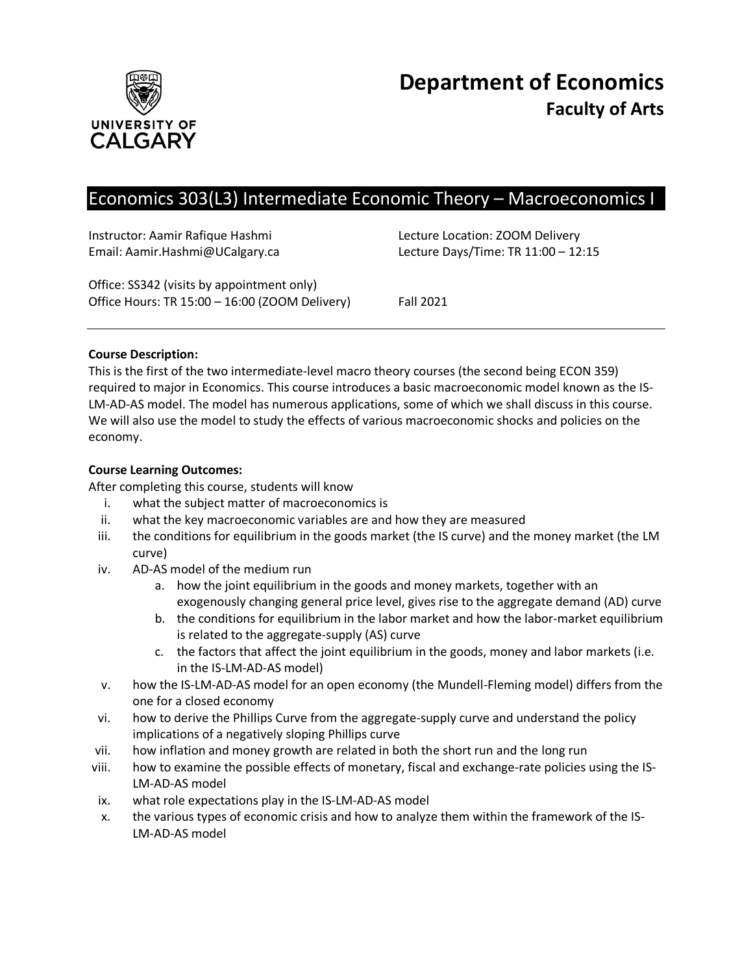

# Economics 303(L3) Intermediate Economic Theory – Macroeconomics I

Instructor: Aamir Rafique Hashmi Lecture Location: ZOOM Delivery

Email: Aamir.Hashmi@UCalgary.ca Lecture Days/Time: TR 11:00 – 12:15

Office: SS342 (visits by appointment only) Office Hours: TR 15:00 – 16:00 (ZOOM Delivery) Fall 2021

# **Course Description:**

This is the first of the two intermediate-level macro theory courses (the second being ECON 359) required to major in Economics. This course introduces a basic macroeconomic model known as the IS-LM-AD-AS model. The model has numerous applications, some of which we shall discuss in this course. We will also use the model to study the effects of various macroeconomic shocks and policies on the economy.

## **Course Learning Outcomes:**

After completing this course, students will know

- i. what the subject matter of macroeconomics is
- ii. what the key macroeconomic variables are and how they are measured
- iii. the conditions for equilibrium in the goods market (the IS curve) and the money market (the LM curve)
- iv. AD-AS model of the medium run
	- a. how the joint equilibrium in the goods and money markets, together with an exogenously changing general price level, gives rise to the aggregate demand (AD) curve
	- b. the conditions for equilibrium in the labor market and how the labor-market equilibrium is related to the aggregate-supply (AS) curve
	- c. the factors that affect the joint equilibrium in the goods, money and labor markets (i.e. in the IS-LM-AD-AS model)
- v. how the IS-LM-AD-AS model for an open economy (the Mundell-Fleming model) differs from the one for a closed economy
- vi. how to derive the Phillips Curve from the aggregate-supply curve and understand the policy implications of a negatively sloping Phillips curve
- vii. how inflation and money growth are related in both the short run and the long run
- viii. how to examine the possible effects of monetary, fiscal and exchange-rate policies using the IS-LM-AD-AS model
- ix. what role expectations play in the IS-LM-AD-AS model
- x. the various types of economic crisis and how to analyze them within the framework of the IS-LM-AD-AS model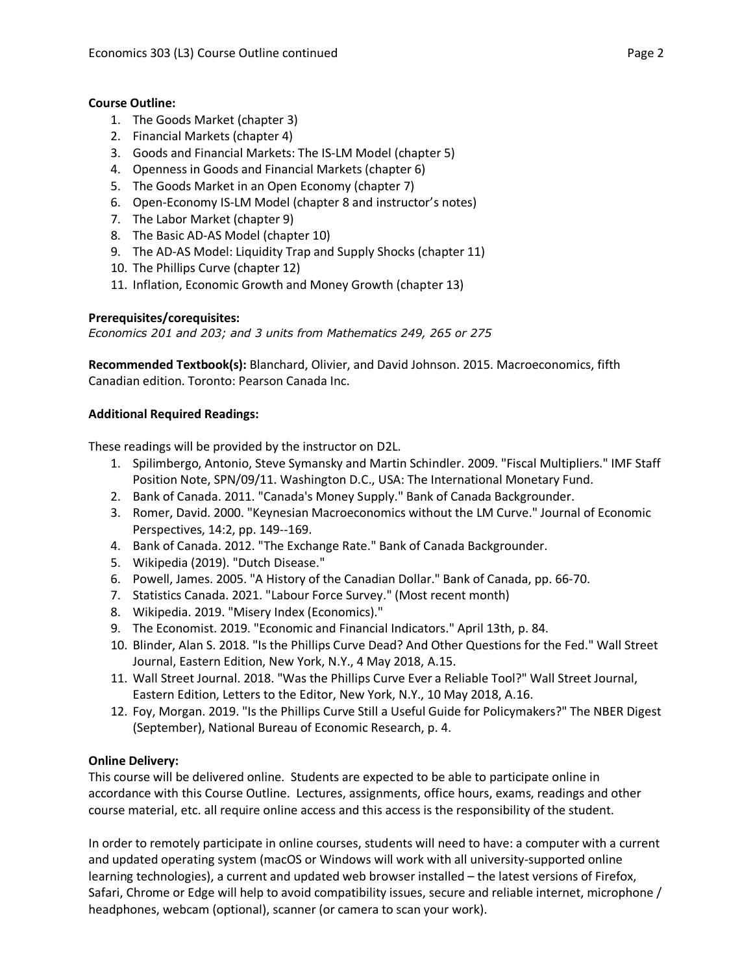# **Course Outline:**

- 1. The Goods Market (chapter 3)
- 2. Financial Markets (chapter 4)
- 3. Goods and Financial Markets: The IS-LM Model (chapter 5)
- 4. Openness in Goods and Financial Markets (chapter 6)
- 5. The Goods Market in an Open Economy (chapter 7)
- 6. Open-Economy IS-LM Model (chapter 8 and instructor's notes)
- 7. The Labor Market (chapter 9)
- 8. The Basic AD-AS Model (chapter 10)
- 9. The AD-AS Model: Liquidity Trap and Supply Shocks (chapter 11)
- 10. The Phillips Curve (chapter 12)
- 11. Inflation, Economic Growth and Money Growth (chapter 13)

# **Prerequisites/corequisites:**

*Economics 201 and 203; and 3 units from Mathematics 249, 265 or 275*

**Recommended Textbook(s):** Blanchard, Olivier, and David Johnson. 2015. Macroeconomics, fifth Canadian edition. Toronto: Pearson Canada Inc.

# **Additional Required Readings:**

These readings will be provided by the instructor on D2L.

- 1. Spilimbergo, Antonio, Steve Symansky and Martin Schindler. 2009. "Fiscal Multipliers." IMF Staff Position Note, SPN/09/11. Washington D.C., USA: The International Monetary Fund.
- 2. Bank of Canada. 2011. "Canada's Money Supply." Bank of Canada Backgrounder.
- 3. Romer, David. 2000. "Keynesian Macroeconomics without the LM Curve." Journal of Economic Perspectives, 14:2, pp. 149--169.
- 4. Bank of Canada. 2012. "The Exchange Rate." Bank of Canada Backgrounder.
- 5. Wikipedia (2019). "Dutch Disease."
- 6. Powell, James. 2005. "A History of the Canadian Dollar." Bank of Canada, pp. 66-70.
- 7. Statistics Canada. 2021. "Labour Force Survey." (Most recent month)
- 8. Wikipedia. 2019. "Misery Index (Economics)."
- 9. The Economist. 2019. "Economic and Financial Indicators." April 13th, p. 84.
- 10. Blinder, Alan S. 2018. "Is the Phillips Curve Dead? And Other Questions for the Fed." Wall Street Journal, Eastern Edition, New York, N.Y., 4 May 2018, A.15.
- 11. Wall Street Journal. 2018. "Was the Phillips Curve Ever a Reliable Tool?" Wall Street Journal, Eastern Edition, Letters to the Editor, New York, N.Y., 10 May 2018, A.16.
- 12. Foy, Morgan. 2019. "Is the Phillips Curve Still a Useful Guide for Policymakers?" The NBER Digest (September), National Bureau of Economic Research, p. 4.

# **Online Delivery:**

This course will be delivered online. Students are expected to be able to participate online in accordance with this Course Outline. Lectures, assignments, office hours, exams, readings and other course material, etc. all require online access and this access is the responsibility of the student.

In order to remotely participate in online courses, students will need to have: a computer with a current and updated operating system (macOS or Windows will work with all university-supported online learning technologies), a current and updated web browser installed – the latest versions of Firefox, Safari, Chrome or Edge will help to avoid compatibility issues, secure and reliable internet, microphone / headphones, webcam (optional), scanner (or camera to scan your work).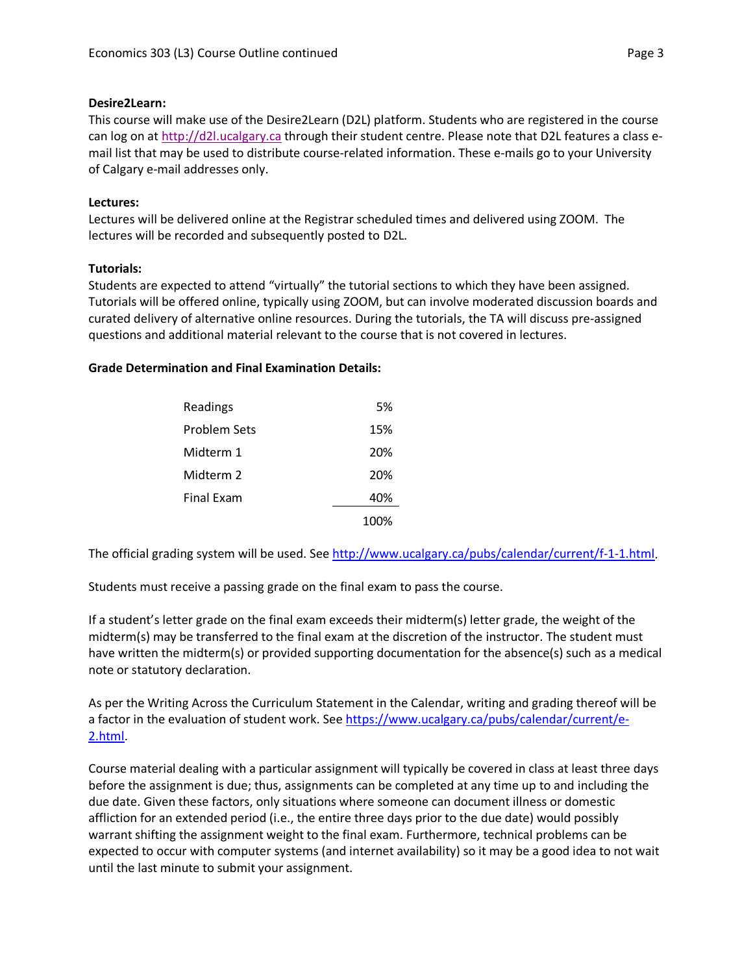## **Desire2Learn:**

This course will make use of the Desire2Learn (D2L) platform. Students who are registered in the course can log on at [http://d2l.ucalgary.ca](http://d2l.ucalgary.ca/) through their student centre. Please note that D2L features a class email list that may be used to distribute course-related information. These e-mails go to your University of Calgary e-mail addresses only.

# **Lectures:**

Lectures will be delivered online at the Registrar scheduled times and delivered using ZOOM. The lectures will be recorded and subsequently posted to D2L.

## **Tutorials:**

Students are expected to attend "virtually" the tutorial sections to which they have been assigned. Tutorials will be offered online, typically using ZOOM, but can involve moderated discussion boards and curated delivery of alternative online resources. During the tutorials, the TA will discuss pre-assigned questions and additional material relevant to the course that is not covered in lectures.

## **Grade Determination and Final Examination Details:**

| Readings          | 5%   |
|-------------------|------|
| Problem Sets      | 15%  |
| Midterm 1         | 20%  |
| Midterm 2         | 20%  |
| <b>Final Exam</b> | 40%  |
|                   | 1በበ% |

The official grading system will be used. Se[e http://www.ucalgary.ca/pubs/calendar/current/f-1-1.html.](http://www.ucalgary.ca/pubs/calendar/current/f-1-1.html)

Students must receive a passing grade on the final exam to pass the course.

If a student's letter grade on the final exam exceeds their midterm(s) letter grade, the weight of the midterm(s) may be transferred to the final exam at the discretion of the instructor. The student must have written the midterm(s) or provided supporting documentation for the absence(s) such as a medical note or statutory declaration.

As per the Writing Across the Curriculum Statement in the Calendar, writing and grading thereof will be a factor in the evaluation of student work. See [https://www.ucalgary.ca/pubs/calendar/current/e-](https://www.ucalgary.ca/pubs/calendar/current/e-2.html)[2.html.](https://www.ucalgary.ca/pubs/calendar/current/e-2.html)

Course material dealing with a particular assignment will typically be covered in class at least three days before the assignment is due; thus, assignments can be completed at any time up to and including the due date. Given these factors, only situations where someone can document illness or domestic affliction for an extended period (i.e., the entire three days prior to the due date) would possibly warrant shifting the assignment weight to the final exam. Furthermore, technical problems can be expected to occur with computer systems (and internet availability) so it may be a good idea to not wait until the last minute to submit your assignment.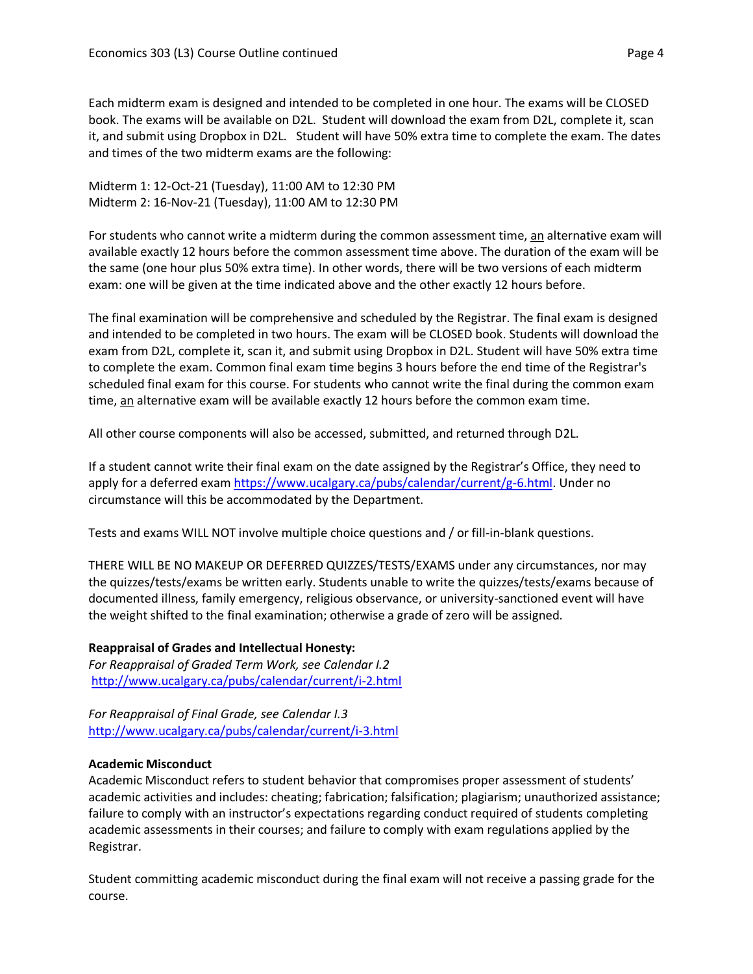Each midterm exam is designed and intended to be completed in one hour. The exams will be CLOSED book. The exams will be available on D2L. Student will download the exam from D2L, complete it, scan it, and submit using Dropbox in D2L. Student will have 50% extra time to complete the exam. The dates and times of the two midterm exams are the following:

Midterm 1: 12-Oct-21 (Tuesday), 11:00 AM to 12:30 PM Midterm 2: 16-Nov-21 (Tuesday), 11:00 AM to 12:30 PM

For students who cannot write a midterm during the common assessment time, an alternative exam will available exactly 12 hours before the common assessment time above. The duration of the exam will be the same (one hour plus 50% extra time). In other words, there will be two versions of each midterm exam: one will be given at the time indicated above and the other exactly 12 hours before.

The final examination will be comprehensive and scheduled by the Registrar. The final exam is designed and intended to be completed in two hours. The exam will be CLOSED book. Students will download the exam from D2L, complete it, scan it, and submit using Dropbox in D2L. Student will have 50% extra time to complete the exam. Common final exam time begins 3 hours before the end time of the Registrar's scheduled final exam for this course. For students who cannot write the final during the common exam time, an alternative exam will be available exactly 12 hours before the common exam time.

All other course components will also be accessed, submitted, and returned through D2L.

If a student cannot write their final exam on the date assigned by the Registrar's Office, they need to apply for a deferred exam [https://www.ucalgary.ca/pubs/calendar/current/g-6.html.](https://www.ucalgary.ca/pubs/calendar/current/g-6.html) Under no circumstance will this be accommodated by the Department.

Tests and exams WILL NOT involve multiple choice questions and / or fill-in-blank questions.

THERE WILL BE NO MAKEUP OR DEFERRED QUIZZES/TESTS/EXAMS under any circumstances, nor may the quizzes/tests/exams be written early. Students unable to write the quizzes/tests/exams because of documented illness, family emergency, religious observance, or university-sanctioned event will have the weight shifted to the final examination; otherwise a grade of zero will be assigned.

**Reappraisal of Grades and Intellectual Honesty:** *For Reappraisal of Graded Term Work, see Calendar I.2* <http://www.ucalgary.ca/pubs/calendar/current/i-2.html>

*For Reappraisal of Final Grade, see Calendar I.3* <http://www.ucalgary.ca/pubs/calendar/current/i-3.html>

#### **Academic Misconduct**

Academic Misconduct refers to student behavior that compromises proper assessment of students' academic activities and includes: cheating; fabrication; falsification; plagiarism; unauthorized assistance; failure to comply with an instructor's expectations regarding conduct required of students completing academic assessments in their courses; and failure to comply with exam regulations applied by the Registrar.

Student committing academic misconduct during the final exam will not receive a passing grade for the course.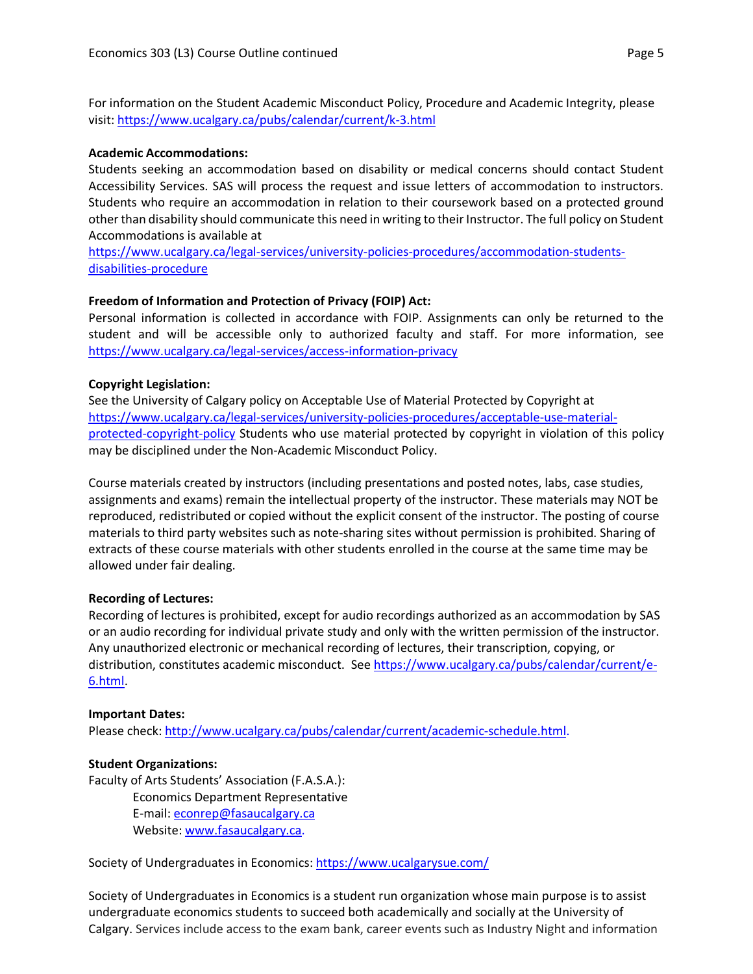For information on the Student Academic Misconduct Policy, Procedure and Academic Integrity, please visit[: https://www.ucalgary.ca/pubs/calendar/current/k-3.html](https://www.ucalgary.ca/pubs/calendar/current/k-3.html)

#### **Academic Accommodations:**

Students seeking an accommodation based on disability or medical concerns should contact Student Accessibility Services. SAS will process the request and issue letters of accommodation to instructors. Students who require an accommodation in relation to their coursework based on a protected ground other than disability should communicate this need in writing to their Instructor. The full policy on Student Accommodations is available at

[https://www.ucalgary.ca/legal-services/university-policies-procedures/accommodation-students](https://www.ucalgary.ca/legal-services/university-policies-procedures/accommodation-students-disabilities-procedure)[disabilities-procedure](https://www.ucalgary.ca/legal-services/university-policies-procedures/accommodation-students-disabilities-procedure)

## **Freedom of Information and Protection of Privacy (FOIP) Act:**

Personal information is collected in accordance with FOIP. Assignments can only be returned to the student and will be accessible only to authorized faculty and staff. For more information, see <https://www.ucalgary.ca/legal-services/access-information-privacy>

## **Copyright Legislation:**

See the University of Calgary policy on Acceptable Use of Material Protected by Copyright at [https://www.ucalgary.ca/legal-services/university-policies-procedures/acceptable-use-material](https://www.ucalgary.ca/legal-services/university-policies-procedures/acceptable-use-material-protected-copyright-policy)[protected-copyright-policy](https://www.ucalgary.ca/legal-services/university-policies-procedures/acceptable-use-material-protected-copyright-policy) Students who use material protected by copyright in violation of this policy may be disciplined under the Non-Academic Misconduct Policy.

Course materials created by instructors (including presentations and posted notes, labs, case studies, assignments and exams) remain the intellectual property of the instructor. These materials may NOT be reproduced, redistributed or copied without the explicit consent of the instructor. The posting of course materials to third party websites such as note-sharing sites without permission is prohibited. Sharing of extracts of these course materials with other students enrolled in the course at the same time may be allowed under fair dealing.

#### **Recording of Lectures:**

Recording of lectures is prohibited, except for audio recordings authorized as an accommodation by SAS or an audio recording for individual private study and only with the written permission of the instructor. Any unauthorized electronic or mechanical recording of lectures, their transcription, copying, or distribution, constitutes academic misconduct. See [https://www.ucalgary.ca/pubs/calendar/current/e-](https://www.ucalgary.ca/pubs/calendar/current/e-6.html)[6.html.](https://www.ucalgary.ca/pubs/calendar/current/e-6.html)

#### **Important Dates:**

Please check: [http://www.ucalgary.ca/pubs/calendar/current/academic-schedule.html.](http://www.ucalgary.ca/pubs/calendar/current/academic-schedule.html)

#### **Student Organizations:**

Faculty of Arts Students' Association (F.A.S.A.): Economics Department Representative E-mail[: econrep@fasaucalgary.ca](mailto:econrep@fasaucalgary.ca) Website[: www.fasaucalgary.ca.](http://www.fasaucalgary.ca/)

Society of Undergraduates in Economics: <https://www.ucalgarysue.com/>

Society of Undergraduates in Economics is a student run organization whose main purpose is to assist undergraduate economics students to succeed both academically and socially at the University of Calgary. Services include access to the exam bank, career events such as Industry Night and information